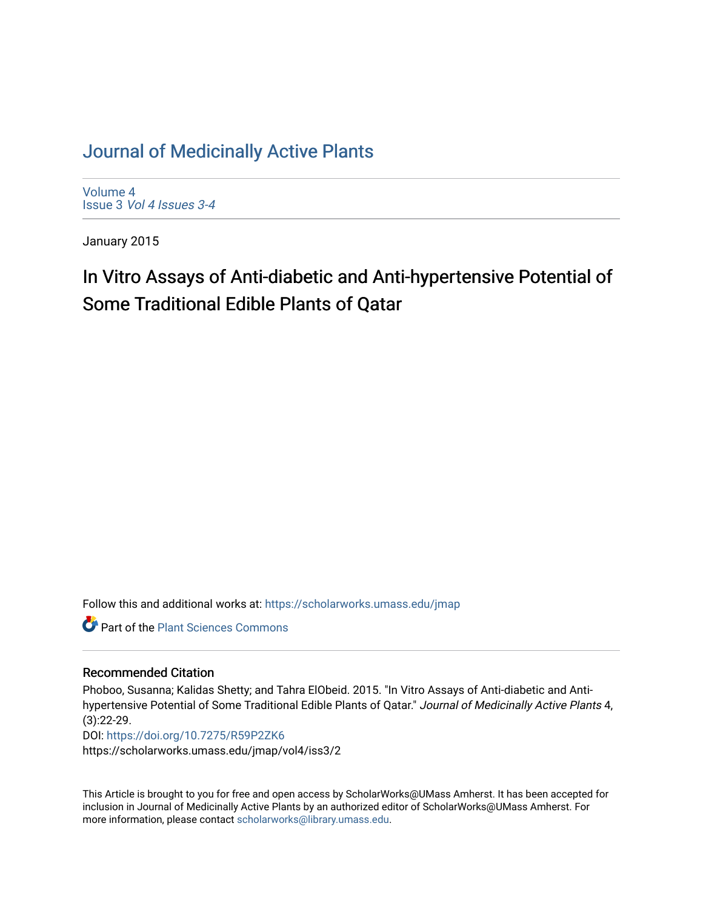## [Journal of Medicinally Active Plants](https://scholarworks.umass.edu/jmap)

[Volume 4](https://scholarworks.umass.edu/jmap/vol4) Issue 3 [Vol 4 Issues 3-4](https://scholarworks.umass.edu/jmap/vol4/iss3)

January 2015

# In Vitro Assays of Anti-diabetic and Anti-hypertensive Potential of Some Traditional Edible Plants of Qatar

Follow this and additional works at: [https://scholarworks.umass.edu/jmap](https://scholarworks.umass.edu/jmap?utm_source=scholarworks.umass.edu%2Fjmap%2Fvol4%2Fiss3%2F2&utm_medium=PDF&utm_campaign=PDFCoverPages) 

**Part of the [Plant Sciences Commons](http://network.bepress.com/hgg/discipline/102?utm_source=scholarworks.umass.edu%2Fjmap%2Fvol4%2Fiss3%2F2&utm_medium=PDF&utm_campaign=PDFCoverPages)** 

#### Recommended Citation

Phoboo, Susanna; Kalidas Shetty; and Tahra ElObeid. 2015. "In Vitro Assays of Anti-diabetic and Antihypertensive Potential of Some Traditional Edible Plants of Qatar." Journal of Medicinally Active Plants 4, (3):22-29.

DOI:<https://doi.org/10.7275/R59P2ZK6> https://scholarworks.umass.edu/jmap/vol4/iss3/2

This Article is brought to you for free and open access by ScholarWorks@UMass Amherst. It has been accepted for inclusion in Journal of Medicinally Active Plants by an authorized editor of ScholarWorks@UMass Amherst. For more information, please contact [scholarworks@library.umass.edu](mailto:scholarworks@library.umass.edu).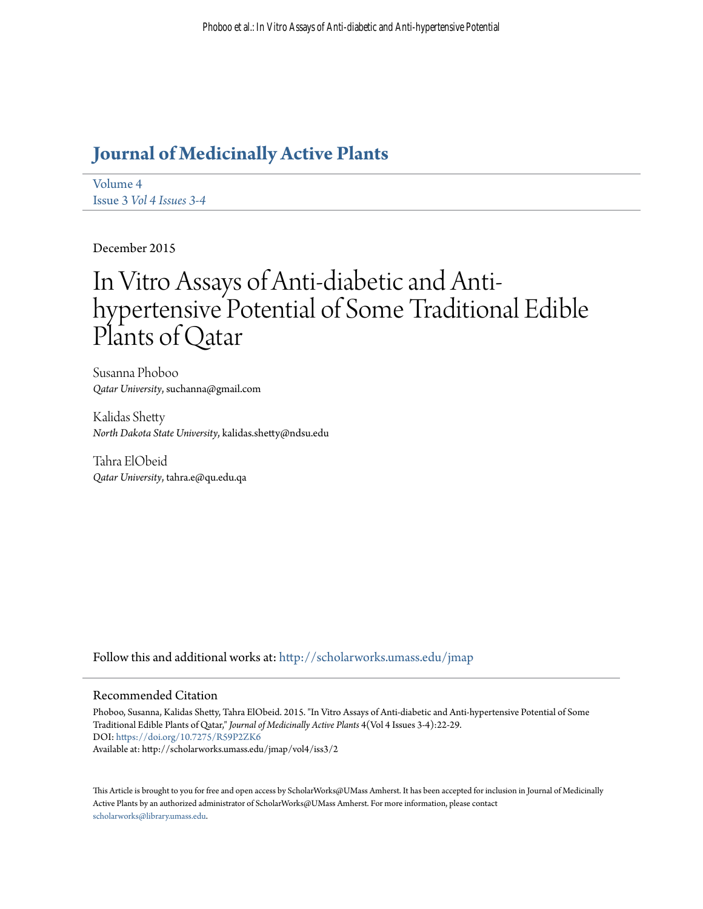# **[Journal of Medicinally Active Plants](http://scholarworks.umass.edu/jmap?utm_source=scholarworks.umass.edu%2Fjmap%2Fvol4%2Fiss3%2F2&utm_medium=PDF&utm_campaign=PDFCoverPages)**

[Volume 4](http://scholarworks.umass.edu/jmap/vol4?utm_source=scholarworks.umass.edu%2Fjmap%2Fvol4%2Fiss3%2F2&utm_medium=PDF&utm_campaign=PDFCoverPages) Issue 3 *[Vol 4 Issues 3-4](http://scholarworks.umass.edu/jmap/vol4/iss3?utm_source=scholarworks.umass.edu%2Fjmap%2Fvol4%2Fiss3%2F2&utm_medium=PDF&utm_campaign=PDFCoverPages)*

December 2015

# In Vitro Assays of Anti-diabetic and Antihypertensive Potential of Some Traditional Edible Plants of Qatar

Susanna Phoboo *Qatar University*, suchanna@gmail.com

Kalidas Shetty *North Dakota State University*, kalidas.shetty@ndsu.edu

Tahra ElObeid *Qatar University*, tahra.e@qu.edu.qa

Follow this and additional works at: [http://scholarworks.umass.edu/jmap](http://scholarworks.umass.edu/jmap?utm_source=scholarworks.umass.edu%2Fjmap%2Fvol4%2Fiss3%2F2&utm_medium=PDF&utm_campaign=PDFCoverPages)

#### Recommended Citation

Phoboo, Susanna, Kalidas Shetty, Tahra ElObeid. 2015. "In Vitro Assays of Anti-diabetic and Anti-hypertensive Potential of Some Traditional Edible Plants of Qatar," *Journal of Medicinally Active Plants* 4(Vol 4 Issues 3-4):22-29. DOI: <https://doi.org/10.7275/R59P2ZK6> Available at: http://scholarworks.umass.edu/jmap/vol4/iss3/2

This Article is brought to you for free and open access by ScholarWorks@UMass Amherst. It has been accepted for inclusion in Journal of Medicinally Active Plants by an authorized administrator of ScholarWorks@UMass Amherst. For more information, please contact [scholarworks@library.umass.edu](mailto:scholarworks@library.umass.edu).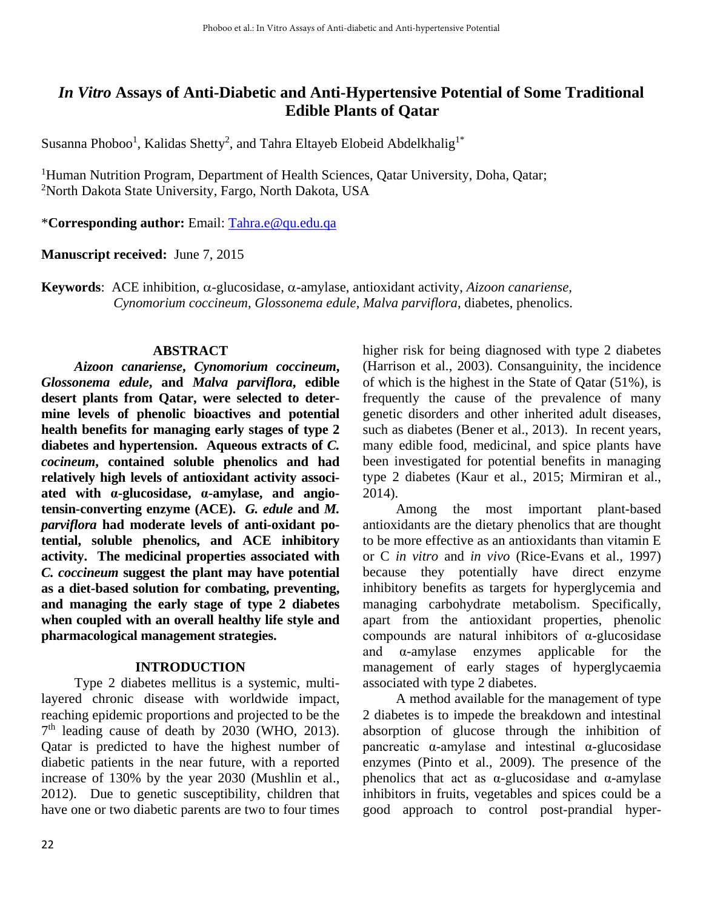## *In Vitro* **Assays of Anti-Diabetic and Anti-Hypertensive Potential of Some Traditional Edible Plants of Qatar**

Susanna Phoboo<sup>1</sup>, Kalidas Shetty<sup>2</sup>, and Tahra Eltayeb Elobeid Abdelkhalig<sup>1\*</sup>

<sup>1</sup>Human Nutrition Program, Department of Health Sciences, Qatar University, Doha, Qatar; <sup>2</sup>North Dakota State University, Fargo, North Dakota, USA

\***Corresponding author:** Email: [Tahra.e@qu.edu.qa](mailto:Tahra.e@qu.edu.qa)

**Manuscript received:** June 7, 2015

**Keywords**: ACE inhibition,  $\alpha$ -glucosidase,  $\alpha$ -amylase, antioxidant activity, *Aizoon canariense*, *Cynomorium coccineum*, *Glossonema edule*, *Malva parviflora*, diabetes, phenolics.

#### **ABSTRACT**

*Aizoon canariense***,** *Cynomorium coccineum***,**  *Glossonema edule***, and** *Malva parviflora***, edible desert plants from Qatar, were selected to determine levels of phenolic bioactives and potential health benefits for managing early stages of type 2 diabetes and hypertension. Aqueous extracts of** *C. cocineum***, contained soluble phenolics and had relatively high levels of antioxidant activity associated with α-glucosidase, α-amylase, and angiotensin-converting enzyme (ACE).** *G. edule* **and** *M. parviflora* **had moderate levels of anti-oxidant potential, soluble phenolics, and ACE inhibitory activity. The medicinal properties associated with**  *C. coccineum* **suggest the plant may have potential as a diet-based solution for combating, preventing, and managing the early stage of type 2 diabetes when coupled with an overall healthy life style and pharmacological management strategies.** 

#### **INTRODUCTION**

 Type 2 diabetes mellitus is a systemic, multilayered chronic disease with worldwide impact, reaching epidemic proportions and projected to be the 7<sup>th</sup> leading cause of death by 2030 (WHO, 2013). Qatar is predicted to have the highest number of diabetic patients in the near future, with a reported increase of 130% by the year 2030 (Mushlin et al., 2012). Due to genetic susceptibility, children that have one or two diabetic parents are two to four times

higher risk for being diagnosed with type 2 diabetes (Harrison et al., 2003). Consanguinity, the incidence of which is the highest in the State of Qatar (51%), is frequently the cause of the prevalence of many genetic disorders and other inherited adult diseases, such as diabetes (Bener et al., 2013). In recent years, many edible food, medicinal, and spice plants have been investigated for potential benefits in managing type 2 diabetes (Kaur et al., 2015; Mirmiran et al., 2014).

 Among the most important plant-based antioxidants are the dietary phenolics that are thought to be more effective as an antioxidants than vitamin E or C *in vitro* and *in vivo* (Rice-Evans et al., 1997) because they potentially have direct enzyme inhibitory benefits as targets for hyperglycemia and managing carbohydrate metabolism. Specifically, apart from the antioxidant properties, phenolic compounds are natural inhibitors of α-glucosidase and α-amylase enzymes applicable for the management of early stages of hyperglycaemia associated with type 2 diabetes.

 A method available for the management of type 2 diabetes is to impede the breakdown and intestinal absorption of glucose through the inhibition of pancreatic  $\alpha$ -amylase and intestinal  $\alpha$ -glucosidase enzymes (Pinto et al., 2009). The presence of the phenolics that act as  $\alpha$ -glucosidase and  $\alpha$ -amylase inhibitors in fruits, vegetables and spices could be a good approach to control post-prandial hyper-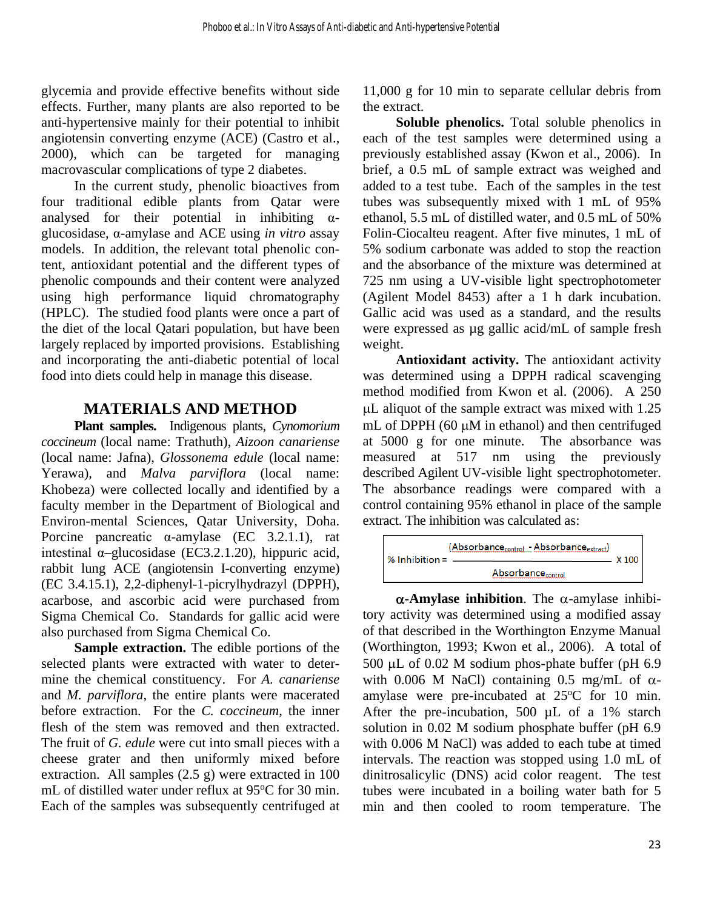glycemia and provide effective benefits without side effects. Further, many plants are also reported to be anti-hypertensive mainly for their potential to inhibit angiotensin converting enzyme (ACE) (Castro et al., 2000), which can be targeted for managing macrovascular complications of type 2 diabetes.

In the current study, phenolic bioactives from four traditional edible plants from Qatar were analysed for their potential in inhibiting  $\alpha$ glucosidase, α-amylase and ACE using *in vitro* assay models. In addition, the relevant total phenolic content, antioxidant potential and the different types of phenolic compounds and their content were analyzed using high performance liquid chromatography (HPLC). The studied food plants were once a part of the diet of the local Qatari population, but have been largely replaced by imported provisions. Establishing and incorporating the anti-diabetic potential of local food into diets could help in manage this disease.

## **MATERIALS AND METHOD**

**Plant samples.** Indigenous plants, *Cynomorium coccineum* (local name: Trathuth), *Aizoon canariense* (local name: Jafna), *Glossonema edule* (local name: Yerawa), and *Malva parviflora* (local name: Khobeza) were collected locally and identified by a faculty member in the Department of Biological and Environ-mental Sciences, Qatar University, Doha. Porcine pancreatic α-amylase (EC 3.2.1.1), rat intestinal  $\alpha$ -glucosidase (EC3.2.1.20), hippuric acid, rabbit lung ACE (angiotensin I-converting enzyme) (EC 3.4.15.1), 2,2-diphenyl-1-picrylhydrazyl (DPPH), acarbose, and ascorbic acid were purchased from Sigma Chemical Co. Standards for gallic acid were also purchased from Sigma Chemical Co.

**Sample extraction.** The edible portions of the selected plants were extracted with water to determine the chemical constituency. For *A. canariense* and *M. parviflora*, the entire plants were macerated before extraction. For the *C. coccineum*, the inner flesh of the stem was removed and then extracted. The fruit of *G. edule* were cut into small pieces with a cheese grater and then uniformly mixed before extraction. All samples (2.5 g) were extracted in 100 mL of distilled water under reflux at 95°C for 30 min. Each of the samples was subsequently centrifuged at 11,000 g for 10 min to separate cellular debris from the extract.

 **Soluble phenolics.** Total soluble phenolics in each of the test samples were determined using a previously established assay (Kwon et al., 2006). In brief, a 0.5 mL of sample extract was weighed and added to a test tube. Each of the samples in the test tubes was subsequently mixed with 1 mL of 95% ethanol, 5.5 mL of distilled water, and 0.5 mL of 50% Folin-Ciocalteu reagent. After five minutes, 1 mL of 5% sodium carbonate was added to stop the reaction and the absorbance of the mixture was determined at 725 nm using a UV-visible light spectrophotometer (Agilent Model 8453) after a 1 h dark incubation. Gallic acid was used as a standard, and the results were expressed as µg gallic acid/mL of sample fresh weight.

 **Antioxidant activity.** The antioxidant activity was determined using a DPPH radical scavenging method modified from Kwon et al. (2006). A 250 L aliquot of the sample extract was mixed with 1.25 mL of DPPH (60  $\mu$ M in ethanol) and then centrifuged at 5000 g for one minute. The absorbance was measured at 517 nm using the previously described Agilent UV-visible light spectrophotometer. The absorbance readings were compared with a control containing 95% ethanol in place of the sample extract. The inhibition was calculated as:

$$
\% Inhibition = \frac{(Absorbance_{control} - Absorbance_{extract})}{Absorbance_{control}} \times 100
$$

 $\alpha$ -Amylase inhibition. The  $\alpha$ -amylase inhibitory activity was determined using a modified assay of that described in the Worthington Enzyme Manual (Worthington, 1993; Kwon et al., 2006). A total of 500  $\mu$ L of 0.02 M sodium phos-phate buffer (pH 6.9) with 0.006 M NaCl) containing 0.5 mg/mL of  $\alpha$ amylase were pre-incubated at  $25^{\circ}$ C for 10 min. After the pre-incubation, 500 µL of a 1% starch solution in 0.02 M sodium phosphate buffer (pH 6.9 with 0.006 M NaCl) was added to each tube at timed intervals. The reaction was stopped using 1.0 mL of dinitrosalicylic (DNS) acid color reagent. The test tubes were incubated in a boiling water bath for 5 min and then cooled to room temperature. The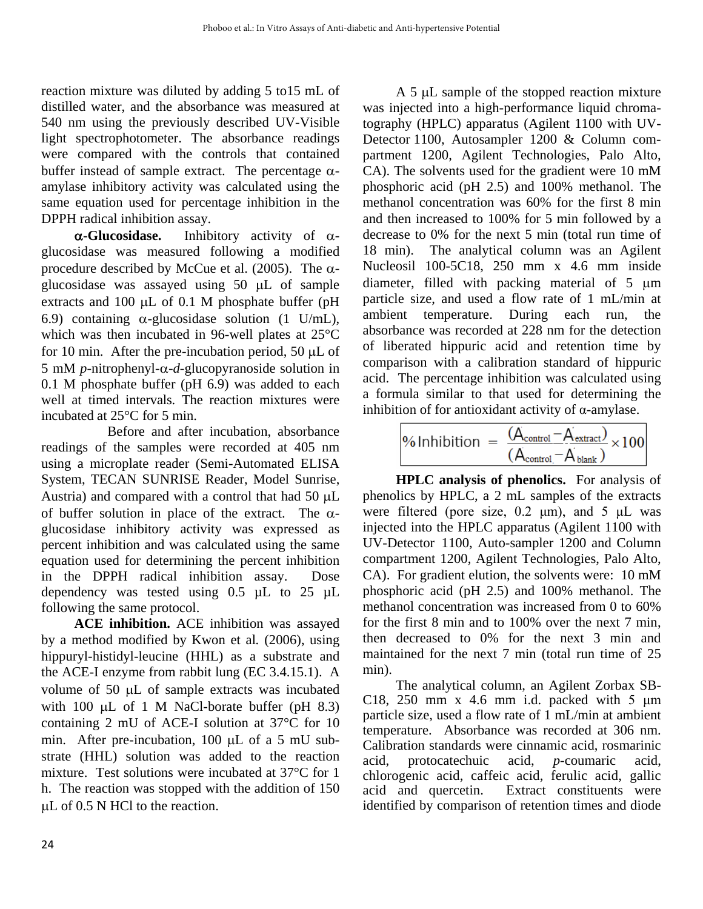reaction mixture was diluted by adding 5 to15 mL of distilled water, and the absorbance was measured at 540 nm using the previously described UV-Visible light spectrophotometer. The absorbance readings were compared with the controls that contained buffer instead of sample extract. The percentage  $\alpha$ amylase inhibitory activity was calculated using the same equation used for percentage inhibition in the DPPH radical inhibition assay.

 $\alpha$ -Glucosidase. Inhibitory activity of  $\alpha$ glucosidase was measured following a modified procedure described by McCue et al. (2005). The  $\alpha$ glucosidase was assayed using  $50 \mu L$  of sample extracts and 100  $\mu$ L of 0.1 M phosphate buffer (pH 6.9) containing  $\alpha$ -glucosidase solution (1 U/mL), which was then incubated in 96-well plates at 25°C for 10 min. After the pre-incubation period, 50  $\mu$ L of 5 mM *p*-nitrophenyl- $\alpha$ -*d*-glucopyranoside solution in 0.1 M phosphate buffer (pH 6.9) was added to each well at timed intervals. The reaction mixtures were incubated at 25°C for 5 min.

 Before and after incubation, absorbance readings of the samples were recorded at 405 nm using a microplate reader (Semi-Automated ELISA System, TECAN SUNRISE Reader, Model Sunrise, Austria) and compared with a control that had 50  $\mu$ L of buffer solution in place of the extract. The  $\alpha$ glucosidase inhibitory activity was expressed as percent inhibition and was calculated using the same equation used for determining the percent inhibition in the DPPH radical inhibition assay. Dose dependency was tested using 0.5 µL to 25 µL following the same protocol.

**ACE inhibition.** ACE inhibition was assayed by a method modified by Kwon et al*.* (2006), using hippuryl-histidyl-leucine (HHL) as a substrate and the ACE-I enzyme from rabbit lung (EC 3.4.15.1). A volume of  $50 \mu L$  of sample extracts was incubated with 100  $\mu$ L of 1 M NaCl-borate buffer (pH 8.3) containing 2 mU of ACE-I solution at 37°C for 10 min. After pre-incubation, 100  $\mu$ L of a 5 mU substrate (HHL) solution was added to the reaction mixture. Test solutions were incubated at 37°C for 1 h. The reaction was stopped with the addition of 150  $\mu$ L of 0.5 N HCl to the reaction.

A 5 µL sample of the stopped reaction mixture was injected into a high-performance liquid chromatography (HPLC) apparatus (Agilent 1100 with UV-Detector 1100, Autosampler 1200 & Column compartment 1200, Agilent Technologies, Palo Alto, CA). The solvents used for the gradient were 10 mM phosphoric acid (pH 2.5) and 100% methanol. The methanol concentration was 60% for the first 8 min and then increased to 100% for 5 min followed by a decrease to 0% for the next 5 min (total run time of 18 min). The analytical column was an Agilent Nucleosil 100-5C18, 250 mm x 4.6 mm inside diameter, filled with packing material of  $5 \mu m$ particle size, and used a flow rate of 1 mL/min at ambient temperature. During each run, the absorbance was recorded at 228 nm for the detection of liberated hippuric acid and retention time by comparison with a calibration standard of hippuric acid. The percentage inhibition was calculated using a formula similar to that used for determining the inhibition of for antioxidant activity of  $\alpha$ -amylase.

$$
\% Inhibition = \frac{(A_{control} - A_{extract})}{(A_{control} - A_{blank})} \times 100
$$

**HPLC analysis of phenolics.** For analysis of phenolics by HPLC, a 2 mL samples of the extracts were filtered (pore size,  $0.2 \mu m$ ), and  $5 \mu L$  was injected into the HPLC apparatus (Agilent 1100 with UV-Detector 1100, Auto-sampler 1200 and Column compartment 1200, Agilent Technologies, Palo Alto, CA). For gradient elution, the solvents were: 10 mM phosphoric acid (pH 2.5) and 100% methanol. The methanol concentration was increased from 0 to 60% for the first 8 min and to 100% over the next 7 min, then decreased to 0% for the next 3 min and maintained for the next 7 min (total run time of 25 min).

The analytical column, an Agilent Zorbax SB-C18, 250 mm x 4.6 mm i.d. packed with 5  $\mu$ m particle size, used a flow rate of 1 mL/min at ambient temperature. Absorbance was recorded at 306 nm. Calibration standards were cinnamic acid, rosmarinic acid, protocatechuic acid, *p*-coumaric acid, chlorogenic acid, caffeic acid, ferulic acid, gallic acid and quercetin. Extract constituents were identified by comparison of retention times and diode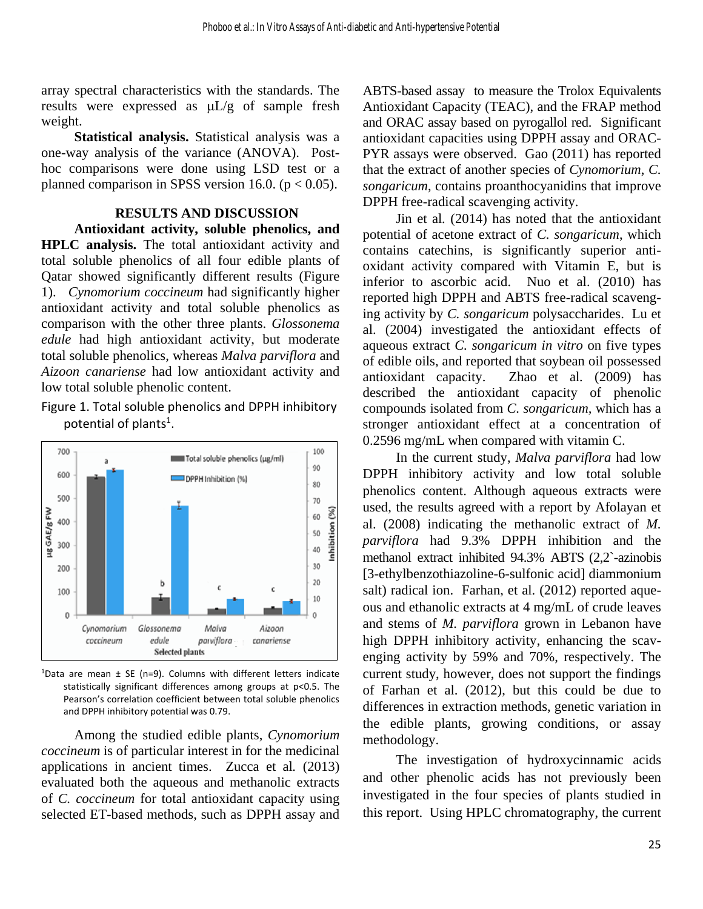array spectral characteristics with the standards. The results were expressed as  $\mu L/g$  of sample fresh weight.

**Statistical analysis.** Statistical analysis was a one-way analysis of the variance (ANOVA). Posthoc comparisons were done using LSD test or a planned comparison in SPSS version 16.0. ( $p < 0.05$ ).

#### **RESULTS AND DISCUSSION**

**Antioxidant activity, soluble phenolics, and HPLC analysis.** The total antioxidant activity and total soluble phenolics of all four edible plants of Qatar showed significantly different results (Figure 1). *Cynomorium coccineum* had significantly higher antioxidant activity and total soluble phenolics as comparison with the other three plants. *Glossonema edule* had high antioxidant activity, but moderate total soluble phenolics, whereas *Malva parviflora* and *Aizoon canariense* had low antioxidant activity and low total soluble phenolic content.

### Figure 1. Total soluble phenolics and DPPH inhibitory potential of plants<sup>1</sup>.



 $1$ Data are mean  $\pm$  SE (n=9). Columns with different letters indicate statistically significant differences among groups at p<0.5. The Pearson's correlation coefficient between total soluble phenolics and DPPH inhibitory potential was 0.79.

Among the studied edible plants, *Cynomorium coccineum* is of particular interest in for the medicinal applications in ancient times. Zucca et al*.* (2013) evaluated both the aqueous and methanolic extracts of *C. coccineum* for total antioxidant capacity using selected ET-based methods, such as DPPH assay and ABTS-based assay to measure the Trolox Equivalents Antioxidant Capacity (TEAC), and the FRAP method and ORAC assay based on pyrogallol red. Significant antioxidant capacities using DPPH assay and ORAC-PYR assays were observed. Gao (2011) has reported that the extract of another species of *Cynomorium*, *C. songaricum*, contains proanthocyanidins that improve DPPH free-radical scavenging activity.

Jin et al*.* (2014) has noted that the antioxidant potential of acetone extract of *C. songaricum*, which contains catechins, is significantly superior antioxidant activity compared with Vitamin E, but is inferior to ascorbic acid. Nuo et al. (2010) has reported high DPPH and ABTS free-radical scavenging activity by *C. songaricum* polysaccharides. Lu et al. (2004) investigated the antioxidant effects of aqueous extract *C. songaricum in vitro* on five types of edible oils, and reported that soybean oil possessed antioxidant capacity. Zhao et al*.* (2009) has described the antioxidant capacity of phenolic compounds isolated from *C. songaricum,* which has a stronger antioxidant effect at a concentration of 0.2596 mg/mL when compared with vitamin C.

 In the current study, *Malva parviflora* had low DPPH inhibitory activity and low total soluble phenolics content. Although aqueous extracts were used, the results agreed with a report by Afolayan et al. (2008) indicating the methanolic extract of *M. parviflora* had 9.3% DPPH inhibition and the methanol extract inhibited 94.3% ABTS (2,2`-azinobis [3-ethylbenzothiazoline-6-sulfonic acid] diammonium salt) radical ion. Farhan, et al. (2012) reported aqueous and ethanolic extracts at 4 mg/mL of crude leaves and stems of *M. parviflora* grown in Lebanon have high DPPH inhibitory activity, enhancing the scavenging activity by 59% and 70%, respectively. The current study, however, does not support the findings of Farhan et al. (2012), but this could be due to differences in extraction methods, genetic variation in the edible plants, growing conditions, or assay methodology.

 The investigation of hydroxycinnamic acids and other phenolic acids has not previously been investigated in the four species of plants studied in this report. Using HPLC chromatography, the current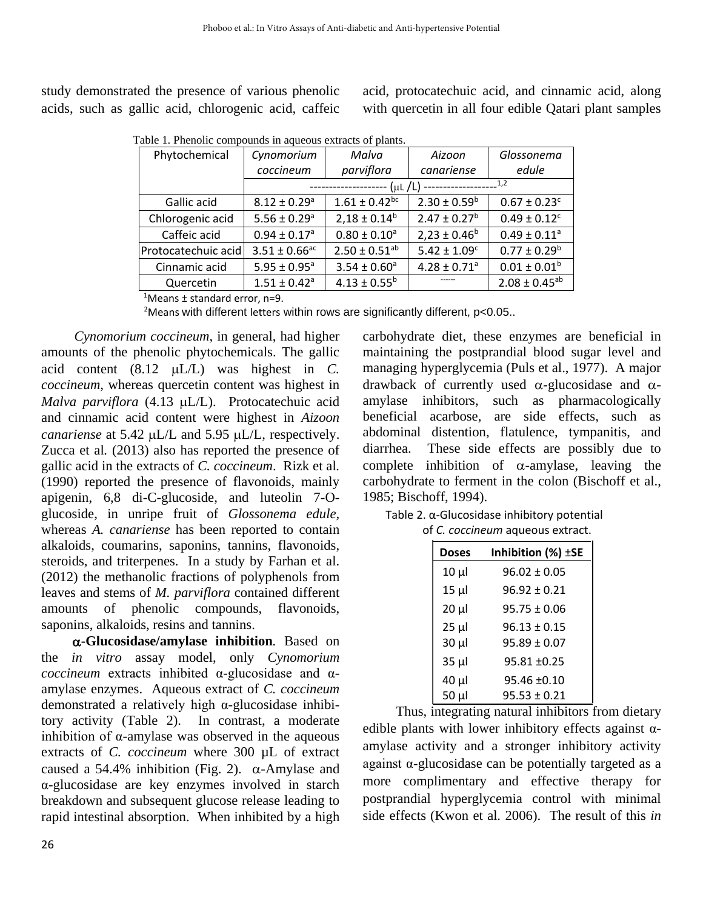study demonstrated the presence of various phenolic acids, such as gallic acid, chlorogenic acid, caffeic acid, protocatechuic acid, and cinnamic acid, along with quercetin in all four edible Qatari plant samples

Table 1. Phenolic compounds in aqueous extracts of plants.

| Cynomorium                             | Malva                         | Aizoon                       | Glossonema                   |
|----------------------------------------|-------------------------------|------------------------------|------------------------------|
| coccineum                              | parviflora                    | canariense                   | edule                        |
| 1,2<br>$(\mu L/L)$<br>---------------- |                               |                              |                              |
| $8.12 \pm 0.29$ <sup>a</sup>           | $1.61 \pm 0.42$ <sup>bc</sup> | $2.30 \pm 0.59^b$            | $0.67 \pm 0.23$ <sup>c</sup> |
| $5.56 \pm 0.29$ <sup>a</sup>           | $2,18 \pm 0.14^b$             | $2.47 \pm 0.27^b$            | $0.49 \pm 0.12^c$            |
| $0.94 \pm 0.17$ <sup>a</sup>           | $0.80 \pm 0.10^a$             | $2,23 \pm 0.46^b$            | $0.49 \pm 0.11$ <sup>a</sup> |
| $3.51 \pm 0.66$ <sup>ac</sup>          | $2.50 \pm 0.51^{ab}$          | $5.42 \pm 1.09^c$            | $0.77 \pm 0.29^b$            |
| $5.95 \pm 0.95^a$                      | $3.54 \pm 0.60^a$             | $4.28 \pm 0.71$ <sup>a</sup> | $0.01 \pm 0.01^b$            |
| $1.51 \pm 0.42$ <sup>a</sup>           | $4.13 \pm 0.55^b$             |                              | $2.08 \pm 0.45^{ab}$         |
|                                        | Protocatechuic acid           |                              |                              |

<sup>1</sup>Means  $\pm$  standard error, n=9.

<sup>2</sup>Means with different letters within rows are significantly different, p<0.05..

 *Cynomorium coccineum*, in general, had higher amounts of the phenolic phytochemicals. The gallic acid content (8.12 µL/L) was highest in *C*. *coccineum*, whereas quercetin content was highest in *Malva parviflora* (4.13 µL/L). Protocatechuic acid and cinnamic acid content were highest in *Aizoon canariense* at 5.42 µL/L and 5.95 µL/L, respectively. Zucca et al*.* (2013) also has reported the presence of gallic acid in the extracts of *C. coccineum*. Rizk et al*.* (1990) reported the presence of flavonoids, mainly apigenin, 6,8 di-C-glucoside, and luteolin 7-Oglucoside, in unripe fruit of *Glossonema edule,* whereas *A. canariense* has been reported to contain alkaloids, coumarins, saponins, tannins, flavonoids, steroids, and triterpenes. In a study by Farhan et al. (2012) the methanolic fractions of polyphenols from leaves and stems of *M. parviflora* contained different amounts of phenolic compounds, flavonoids, saponins, alkaloids, resins and tannins.

 **-Glucosidase/amylase inhibition***.* Based on the *in vitro* assay model, only *Cynomorium coccineum* extracts inhibited α-glucosidase and αamylase enzymes. Aqueous extract of *C. coccineum* demonstrated a relatively high α-glucosidase inhibitory activity (Table 2). In contrast, a moderate inhibition of α-amylase was observed in the aqueous extracts of *C. coccineum* where 300 µL of extract caused a 54.4% inhibition (Fig. 2).  $\alpha$ -Amylase and α-glucosidase are key enzymes involved in starch breakdown and subsequent glucose release leading to rapid intestinal absorption. When inhibited by a high carbohydrate diet, these enzymes are beneficial in maintaining the postprandial blood sugar level and managing hyperglycemia (Puls et al., 1977). A major drawback of currently used  $\alpha$ -glucosidase and  $\alpha$ amylase inhibitors, such as pharmacologically beneficial acarbose, are side effects, such as abdominal distention, flatulence, tympanitis, and diarrhea. These side effects are possibly due to complete inhibition of  $\alpha$ -amylase, leaving the carbohydrate to ferment in the colon (Bischoff et al., 1985; Bischoff, 1994).

 Table 2. α-Glucosidase inhibitory potential of *C. coccineum* aqueous extract.

| Inhibition $(\%) \pm SE$<br><b>Doses</b> |                  |
|------------------------------------------|------------------|
| $10 \mu$                                 | $96.02 \pm 0.05$ |
| $15 \mu$                                 | $96.92 \pm 0.21$ |
| $20 \mu$                                 | $95.75 \pm 0.06$ |
| $25 \mu$                                 | $96.13 \pm 0.15$ |
| $30 \mu$                                 | $95.89 \pm 0.07$ |
| $35 \mu$                                 | $95.81 \pm 0.25$ |
| 40 µl                                    | $95.46 \pm 0.10$ |
| $50 \mu$                                 | $95.53 \pm 0.21$ |

 Thus, integrating natural inhibitors from dietary edible plants with lower inhibitory effects against αamylase activity and a stronger inhibitory activity against  $\alpha$ -glucosidase can be potentially targeted as a more complimentary and effective therapy for postprandial hyperglycemia control with minimal side effects (Kwon et al*.* 2006). The result of this *in*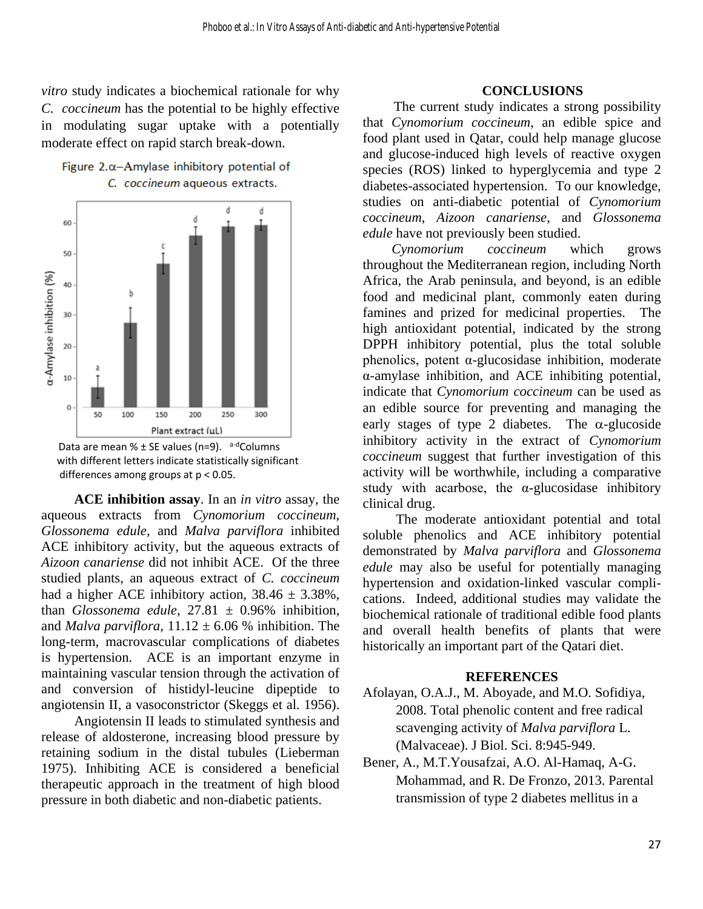*vitro* study indicates a biochemical rationale for why *C. coccineum* has the potential to be highly effective in modulating sugar uptake with a potentially moderate effect on rapid starch break-down.





**ACE inhibition assay**. In an *in vitro* assay, the aqueous extracts from *Cynomorium coccineum*, *Glossonema edule*, and *Malva parviflora* inhibited ACE inhibitory activity, but the aqueous extracts of *Aizoon canariense* did not inhibit ACE. Of the three studied plants, an aqueous extract of *C. coccineum* had a higher ACE inhibitory action,  $38.46 \pm 3.38\%$ , than *Glossonema edule*,  $27.81 \pm 0.96\%$  inhibition, and *Malva parviflora*,  $11.12 \pm 6.06$  % inhibition. The long-term, macrovascular complications of diabetes is hypertension. ACE is an important enzyme in maintaining vascular tension through the activation of and conversion of histidyl-leucine dipeptide to angiotensin II, a vasoconstrictor (Skeggs et al*.* 1956).

Angiotensin II leads to stimulated synthesis and release of aldosterone, increasing blood pressure by retaining sodium in the distal tubules (Lieberman 1975). Inhibiting ACE is considered a beneficial therapeutic approach in the treatment of high blood pressure in both diabetic and non-diabetic patients.

#### **CONCLUSIONS**

The current study indicates a strong possibility that *Cynomorium coccineum*, an edible spice and food plant used in Qatar, could help manage glucose and glucose-induced high levels of reactive oxygen species (ROS) linked to hyperglycemia and type 2 diabetes-associated hypertension. To our knowledge, studies on anti-diabetic potential of *Cynomorium coccineum*, *Aizoon canariense*, and *Glossonema edule* have not previously been studied.

*Cynomorium coccineum* which grows throughout the Mediterranean region, including North Africa, the Arab peninsula, and beyond, is an edible food and medicinal plant, commonly eaten during famines and prized for medicinal properties. The high antioxidant potential, indicated by the strong DPPH inhibitory potential, plus the total soluble phenolics, potent α-glucosidase inhibition, moderate α-amylase inhibition, and ACE inhibiting potential, indicate that *Cynomorium coccineum* can be used as an edible source for preventing and managing the early stages of type 2 diabetes. The  $\alpha$ -glucoside inhibitory activity in the extract of *Cynomorium coccineum* suggest that further investigation of this activity will be worthwhile, including a comparative study with acarbose, the  $\alpha$ -glucosidase inhibitory clinical drug.

 The moderate antioxidant potential and total soluble phenolics and ACE inhibitory potential demonstrated by *Malva parviflora* and *Glossonema edule* may also be useful for potentially managing hypertension and oxidation-linked vascular complications. Indeed, additional studies may validate the biochemical rationale of traditional edible food plants and overall health benefits of plants that were historically an important part of the Qatari diet.

#### **REFERENCES**

- Afolayan, O.A.J., M. Aboyade, and M.O. Sofidiya, 2008. Total phenolic content and free radical scavenging activity of *Malva parviflora* L. (Malvaceae). J Biol. Sci. 8:945-949.
- Bener, A., M.T.Yousafzai, A.O. Al-Hamaq, A-G. Mohammad, and R. De Fronzo, 2013. Parental transmission of type 2 diabetes mellitus in a

Data are mean %  $\pm$  SE values (n=9). a-dColumns with different letters indicate statistically significant differences among groups at p < 0.05.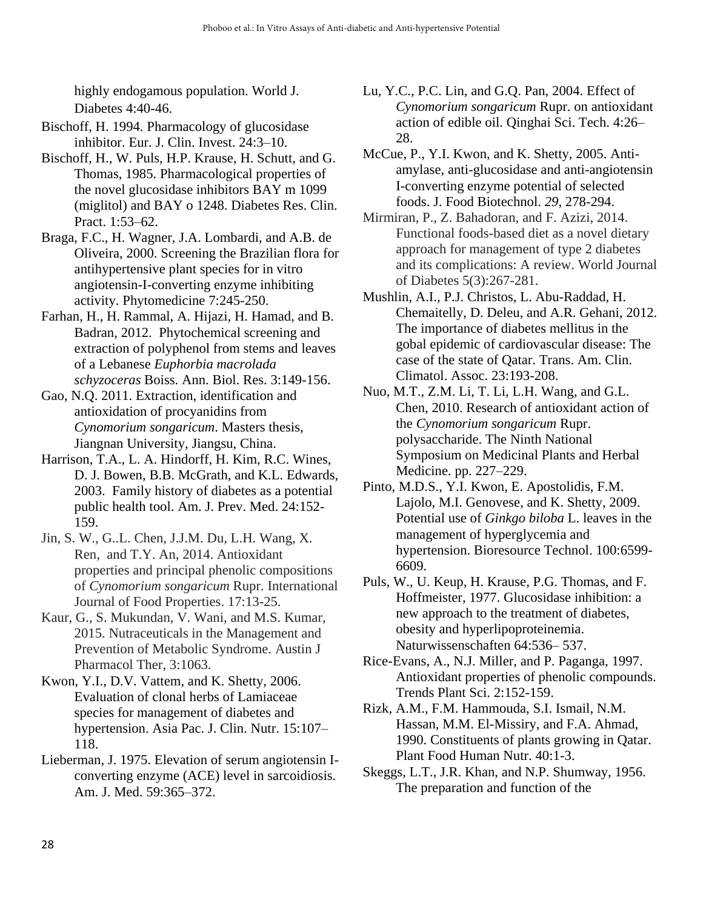highly endogamous population. World J. Diabetes 4:40-46.

- Bischoff, H. 1994. Pharmacology of glucosidase inhibitor. Eur. J. Clin. Invest. 24:3–10.
- Bischoff, H., W. Puls, H.P. Krause, H. Schutt, and G. Thomas, 1985. Pharmacological properties of the novel glucosidase inhibitors BAY m 1099 (miglitol) and BAY o 1248. Diabetes Res. Clin. Pract. 1:53–62.
- Braga, F.C., H. Wagner, J.A. Lombardi, and A.B. de Oliveira, 2000. Screening the Brazilian flora for antihypertensive plant species for in vitro angiotensin-I-converting enzyme inhibiting activity. Phytomedicine 7:245-250.
- Farhan, H., H. Rammal, A. Hijazi, H. Hamad, and B. Badran, 2012. Phytochemical screening and extraction of polyphenol from stems and leaves of a Lebanese *Euphorbia macrolada schyzoceras* Boiss. Ann. Biol. Res. 3:149-156.
- Gao, N.Q. 2011. Extraction, identification and antioxidation of procyanidins from *Cynomorium songaricum*. Masters thesis, Jiangnan University, Jiangsu, China.
- Harrison, T.A., L. A. Hindorff, H. Kim, R.C. Wines, D. J. Bowen, B.B. McGrath, and K.L. Edwards, 2003. Family history of diabetes as a potential public health tool. Am. J. Prev. Med. 24:152- 159.
- Jin, S. W., G..L. Chen, J.J.M. Du, L.H. Wang, X. Ren, and T.Y. An, 2014. Antioxidant properties and principal phenolic compositions of *Cynomorium songaricum* Rupr. International Journal of Food Properties. 17:13-25.
- Kaur, G., S. Mukundan, V. Wani, and M.S. Kumar, 2015. Nutraceuticals in the Management and Prevention of Metabolic Syndrome. Austin J Pharmacol Ther, 3:1063.
- Kwon, Y.I., D.V. Vattem, and K. Shetty, 2006. Evaluation of clonal herbs of Lamiaceae species for management of diabetes and hypertension. Asia Pac. J. Clin. Nutr. 15:107– 118.
- Lieberman, J. 1975. Elevation of serum angiotensin Iconverting enzyme (ACE) level in sarcoidiosis. Am. J. Med. 59:365–372.
- Lu, Y.C., P.C. Lin, and G.Q. Pan, 2004. Effect of *Cynomorium songaricum* Rupr. on antioxidant action of edible oil. Qinghai Sci. Tech. 4:26– 28.
- McCue, P., Y.I. Kwon, and K. Shetty, 2005. Antiamylase, anti-glucosidase and anti-angiotensin I-converting enzyme potential of selected foods. J. Food Biotechnol. *29*, 278-294.
- Mirmiran, P., Z. Bahadoran, and F. Azizi, 2014. Functional foods-based diet as a novel dietary approach for management of type 2 diabetes and its complications: A review. World Journal of Diabetes 5(3):267-281.
- Mushlin, A.I., P.J. Christos, L. Abu-Raddad, H. Chemaitelly, D. Deleu, and A.R. Gehani, 2012. The importance of diabetes mellitus in the gobal epidemic of cardiovascular disease: The case of the state of Qatar. Trans. Am. Clin. Climatol. Assoc. 23:193-208.
- Nuo, M.T., Z.M. Li, T. Li, L.H. Wang, and G.L. Chen, 2010. Research of antioxidant action of the *Cynomorium songaricum* Rupr. polysaccharide. The Ninth National Symposium on Medicinal Plants and Herbal Medicine. pp. 227–229.
- Pinto, M.D.S., Y.I. Kwon, E. Apostolidis, F.M. Lajolo, M.I. Genovese, and K. Shetty, 2009. Potential use of *Ginkgo biloba* L. leaves in the management of hyperglycemia and hypertension. Bioresource Technol. 100:6599- 6609.
- Puls, W., U. Keup, H. Krause, P.G. Thomas, and F. Hoffmeister, 1977. Glucosidase inhibition: a new approach to the treatment of diabetes, obesity and hyperlipoproteinemia. Naturwissenschaften 64:536– 537.
- Rice-Evans, A., N.J. Miller, and P. Paganga, 1997. Antioxidant properties of phenolic compounds. Trends Plant Sci. 2:152-159.
- [Rizk,](http://link.springer.com/search?facet-author=%22A.+M.+Rizk%22) A.M., F.M. Hammouda, [S.I. Ismail,](http://link.springer.com/search?facet-author=%22S.+I.+Ismail%22) [N.M.](http://link.springer.com/search?facet-author=%22N.+M.+Hassan%22)  [Hassan,](http://link.springer.com/search?facet-author=%22N.+M.+Hassan%22) [M.M. El-Missiry,](http://link.springer.com/search?facet-author=%22M.+M.+El-Missiry%22) and [F.A. Ahmad,](http://link.springer.com/search?facet-author=%22F.+A.+Ahmad%22) 1990. Constituents of plants growing in Qatar. [Plant Food Human Nutr. 4](http://link.springer.com/journal/11130)0:1-3.
- Skeggs, L.T., J.R. Khan, and N.P. Shumway, 1956. The preparation and function of the